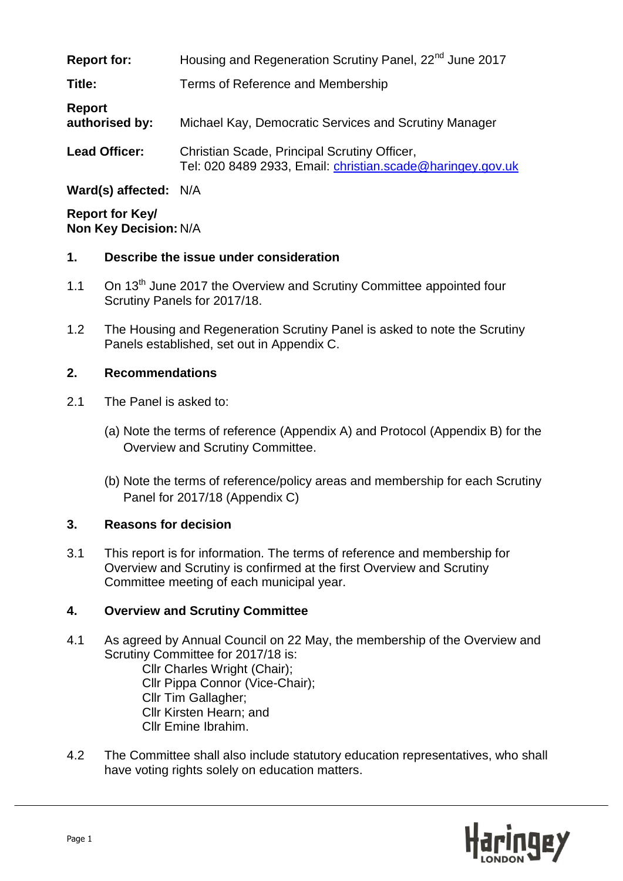| <b>Report for:</b>       | Housing and Regeneration Scrutiny Panel, 22 <sup>nd</sup> June 2017                                        |  |
|--------------------------|------------------------------------------------------------------------------------------------------------|--|
| Title:                   | Terms of Reference and Membership                                                                          |  |
| Report<br>authorised by: | Michael Kay, Democratic Services and Scrutiny Manager                                                      |  |
| <b>Lead Officer:</b>     | Christian Scade, Principal Scrutiny Officer,<br>Tel: 020 8489 2933, Email: christian.scade@haringey.gov.uk |  |

**Ward(s) affected:** N/A

**Report for Key/ Non Key Decision:** N/A

#### **1. Describe the issue under consideration**

- 1.1 On  $13<sup>th</sup>$  June 2017 the Overview and Scrutiny Committee appointed four Scrutiny Panels for 2017/18.
- 1.2 The Housing and Regeneration Scrutiny Panel is asked to note the Scrutiny Panels established, set out in Appendix C.

### **2. Recommendations**

- 2.1 The Panel is asked to:
	- (a) Note the terms of reference (Appendix A) and Protocol (Appendix B) for the Overview and Scrutiny Committee.
	- (b) Note the terms of reference/policy areas and membership for each Scrutiny Panel for 2017/18 (Appendix C)

### **3. Reasons for decision**

3.1 This report is for information. The terms of reference and membership for Overview and Scrutiny is confirmed at the first Overview and Scrutiny Committee meeting of each municipal year.

### **4. Overview and Scrutiny Committee**

- 4.1 As agreed by Annual Council on 22 May, the membership of the Overview and Scrutiny Committee for 2017/18 is: Cllr Charles Wright (Chair); Cllr Pippa Connor (Vice-Chair); Cllr Tim Gallagher; Cllr Kirsten Hearn; and Cllr Emine Ibrahim.
- 4.2 The Committee shall also include statutory education representatives, who shall have voting rights solely on education matters.

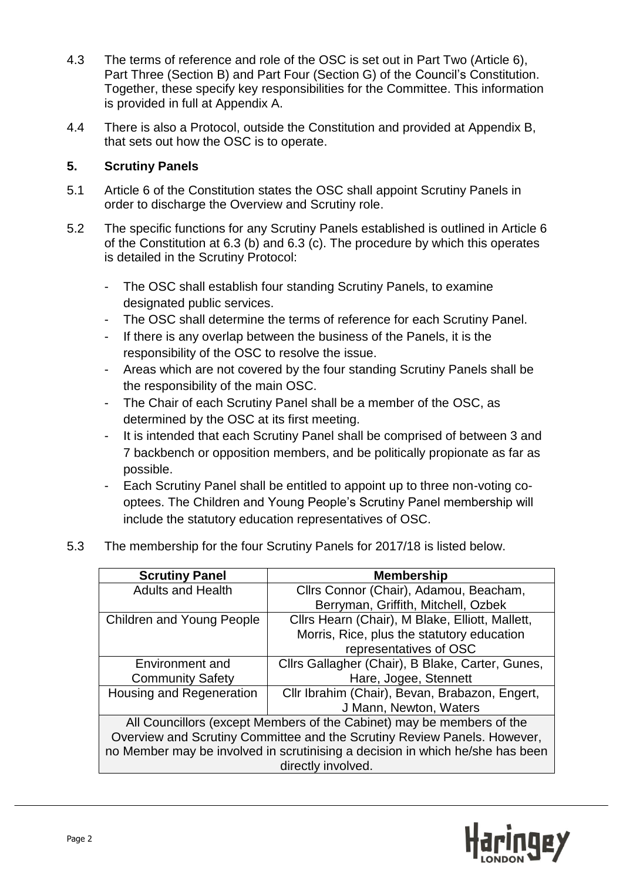- 4.3 The terms of reference and role of the OSC is set out in Part Two (Article 6), Part Three (Section B) and Part Four (Section G) of the Council's Constitution. Together, these specify key responsibilities for the Committee. This information is provided in full at Appendix A.
- 4.4 There is also a Protocol, outside the Constitution and provided at Appendix B, that sets out how the OSC is to operate.

#### **5. Scrutiny Panels**

- 5.1 Article 6 of the Constitution states the OSC shall appoint Scrutiny Panels in order to discharge the Overview and Scrutiny role.
- 5.2 The specific functions for any Scrutiny Panels established is outlined in Article 6 of the Constitution at 6.3 (b) and 6.3 (c). The procedure by which this operates is detailed in the Scrutiny Protocol:
	- The OSC shall establish four standing Scrutiny Panels, to examine designated public services.
	- The OSC shall determine the terms of reference for each Scrutiny Panel.
	- If there is any overlap between the business of the Panels, it is the responsibility of the OSC to resolve the issue.
	- Areas which are not covered by the four standing Scrutiny Panels shall be the responsibility of the main OSC.
	- The Chair of each Scrutiny Panel shall be a member of the OSC, as determined by the OSC at its first meeting.
	- It is intended that each Scrutiny Panel shall be comprised of between 3 and 7 backbench or opposition members, and be politically propionate as far as possible.
	- Each Scrutiny Panel shall be entitled to appoint up to three non-voting cooptees. The Children and Young People's Scrutiny Panel membership will include the statutory education representatives of OSC.
- 5.3 The membership for the four Scrutiny Panels for 2017/18 is listed below.

| <b>Scrutiny Panel</b>                                                         | <b>Membership</b>                                |  |  |  |
|-------------------------------------------------------------------------------|--------------------------------------------------|--|--|--|
| <b>Adults and Health</b>                                                      | Cllrs Connor (Chair), Adamou, Beacham,           |  |  |  |
|                                                                               | Berryman, Griffith, Mitchell, Ozbek              |  |  |  |
| Children and Young People                                                     | Cllrs Hearn (Chair), M Blake, Elliott, Mallett,  |  |  |  |
|                                                                               | Morris, Rice, plus the statutory education       |  |  |  |
|                                                                               | representatives of OSC                           |  |  |  |
| Environment and                                                               | Cllrs Gallagher (Chair), B Blake, Carter, Gunes, |  |  |  |
| <b>Community Safety</b>                                                       | Hare, Jogee, Stennett                            |  |  |  |
| Housing and Regeneration                                                      | Cllr Ibrahim (Chair), Bevan, Brabazon, Engert,   |  |  |  |
|                                                                               | J Mann, Newton, Waters                           |  |  |  |
| All Councillors (except Members of the Cabinet) may be members of the         |                                                  |  |  |  |
| Overview and Scrutiny Committee and the Scrutiny Review Panels. However,      |                                                  |  |  |  |
| no Member may be involved in scrutinising a decision in which he/she has been |                                                  |  |  |  |
| directly involved.                                                            |                                                  |  |  |  |

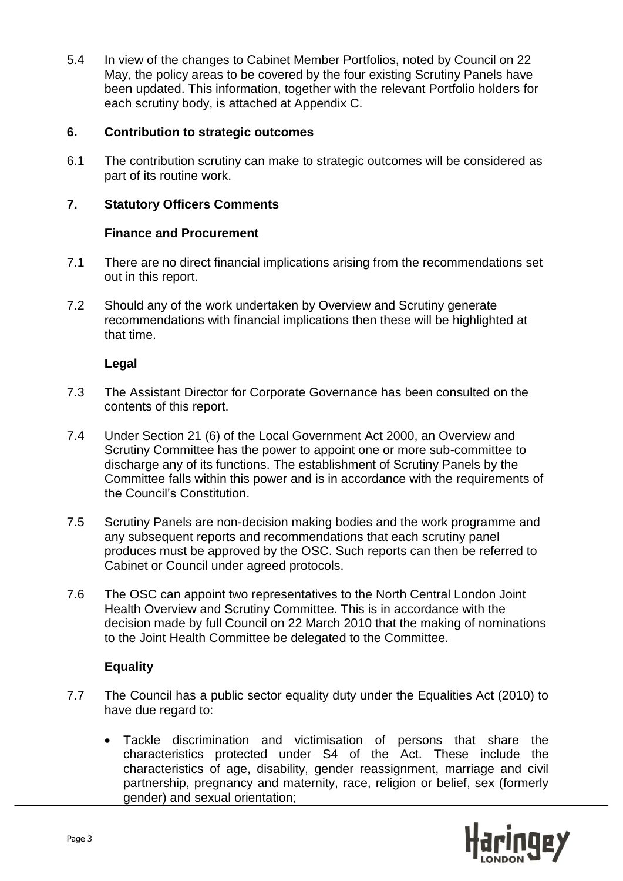5.4 In view of the changes to Cabinet Member Portfolios, noted by Council on 22 May, the policy areas to be covered by the four existing Scrutiny Panels have been updated. This information, together with the relevant Portfolio holders for each scrutiny body, is attached at Appendix C.

#### **6. Contribution to strategic outcomes**

6.1 The contribution scrutiny can make to strategic outcomes will be considered as part of its routine work.

### **7. Statutory Officers Comments**

#### **Finance and Procurement**

- 7.1 There are no direct financial implications arising from the recommendations set out in this report.
- 7.2 Should any of the work undertaken by Overview and Scrutiny generate recommendations with financial implications then these will be highlighted at that time.

#### **Legal**

- 7.3 The Assistant Director for Corporate Governance has been consulted on the contents of this report.
- 7.4 Under Section 21 (6) of the Local Government Act 2000, an Overview and Scrutiny Committee has the power to appoint one or more sub-committee to discharge any of its functions. The establishment of Scrutiny Panels by the Committee falls within this power and is in accordance with the requirements of the Council's Constitution.
- 7.5 Scrutiny Panels are non-decision making bodies and the work programme and any subsequent reports and recommendations that each scrutiny panel produces must be approved by the OSC. Such reports can then be referred to Cabinet or Council under agreed protocols.
- 7.6 The OSC can appoint two representatives to the North Central London Joint Health Overview and Scrutiny Committee. This is in accordance with the decision made by full Council on 22 March 2010 that the making of nominations to the Joint Health Committee be delegated to the Committee.

### **Equality**

- 7.7 The Council has a public sector equality duty under the Equalities Act (2010) to have due regard to:
	- Tackle discrimination and victimisation of persons that share the characteristics protected under S4 of the Act. These include the characteristics of age, disability, gender reassignment, marriage and civil partnership, pregnancy and maternity, race, religion or belief, sex (formerly gender) and sexual orientation;

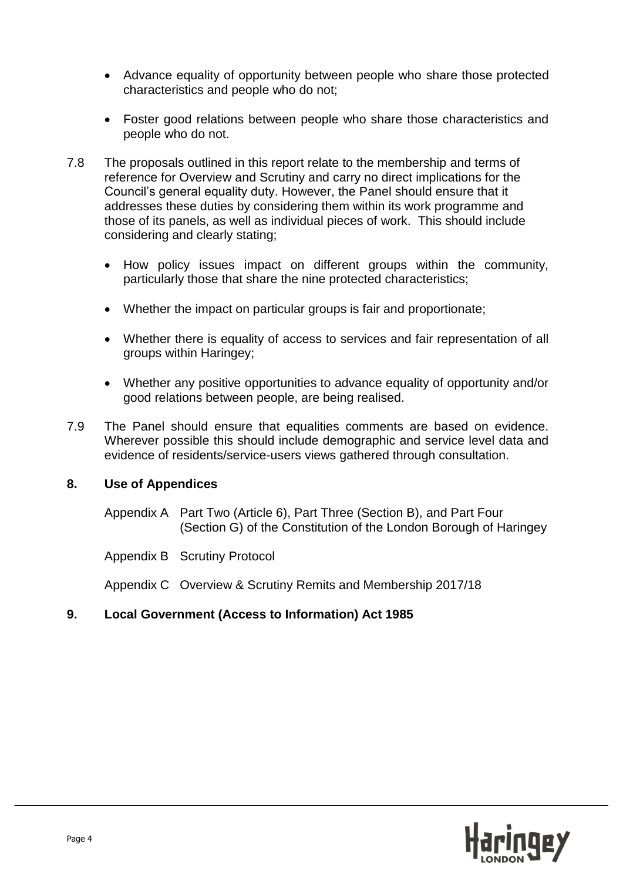- Advance equality of opportunity between people who share those protected characteristics and people who do not;
- Foster good relations between people who share those characteristics and people who do not.
- 7.8 The proposals outlined in this report relate to the membership and terms of reference for Overview and Scrutiny and carry no direct implications for the Council's general equality duty. However, the Panel should ensure that it addresses these duties by considering them within its work programme and those of its panels, as well as individual pieces of work. This should include considering and clearly stating;
	- How policy issues impact on different groups within the community, particularly those that share the nine protected characteristics;
	- Whether the impact on particular groups is fair and proportionate;
	- Whether there is equality of access to services and fair representation of all groups within Haringey;
	- Whether any positive opportunities to advance equality of opportunity and/or good relations between people, are being realised.
- 7.9 The Panel should ensure that equalities comments are based on evidence. Wherever possible this should include demographic and service level data and evidence of residents/service-users views gathered through consultation.

#### **8. Use of Appendices**

Appendix A Part Two (Article 6), Part Three (Section B), and Part Four (Section G) of the Constitution of the London Borough of Haringey

Appendix B Scrutiny Protocol

Appendix C Overview & Scrutiny Remits and Membership 2017/18

#### **9. Local Government (Access to Information) Act 1985**

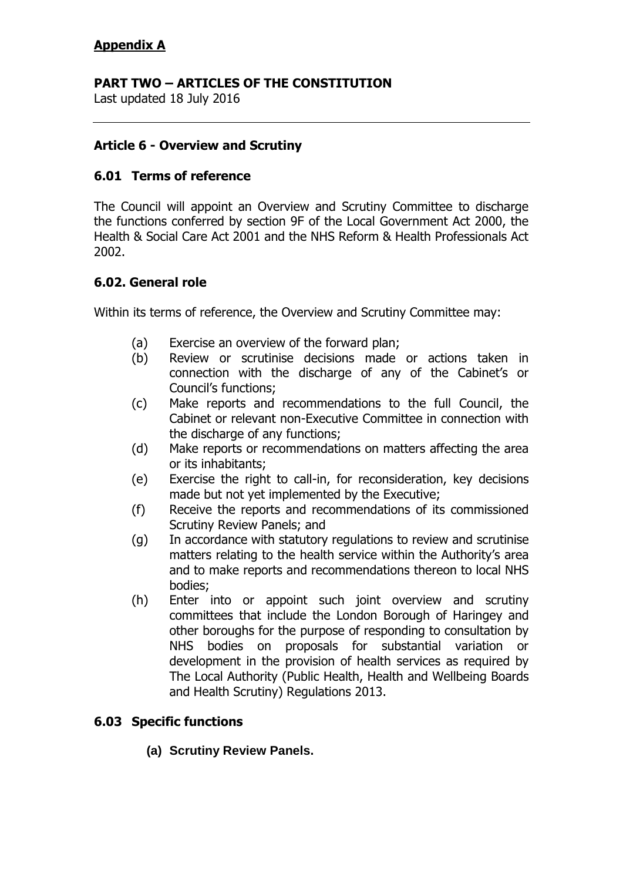# **PART TWO – ARTICLES OF THE CONSTITUTION**

Last updated 18 July 2016

### **Article 6 - Overview and Scrutiny**

### **6.01 Terms of reference**

The Council will appoint an Overview and Scrutiny Committee to discharge the functions conferred by section 9F of the Local Government Act 2000, the Health & Social Care Act 2001 and the NHS Reform & Health Professionals Act 2002.

### **6.02. General role**

Within its terms of reference, the Overview and Scrutiny Committee may:

- (a) Exercise an overview of the forward plan;
- (b) Review or scrutinise decisions made or actions taken in connection with the discharge of any of the Cabinet's or Council"s functions;
- (c) Make reports and recommendations to the full Council, the Cabinet or relevant non-Executive Committee in connection with the discharge of any functions;
- (d) Make reports or recommendations on matters affecting the area or its inhabitants;
- (e) Exercise the right to call-in, for reconsideration, key decisions made but not yet implemented by the Executive;
- (f) Receive the reports and recommendations of its commissioned Scrutiny Review Panels; and
- (g) In accordance with statutory regulations to review and scrutinise matters relating to the health service within the Authority's area and to make reports and recommendations thereon to local NHS bodies;
- (h) Enter into or appoint such joint overview and scrutiny committees that include the London Borough of Haringey and other boroughs for the purpose of responding to consultation by NHS bodies on proposals for substantial variation or development in the provision of health services as required by The Local Authority (Public Health, Health and Wellbeing Boards and Health Scrutiny) Regulations 2013.

### **6.03 Specific functions**

**(a) Scrutiny Review Panels.**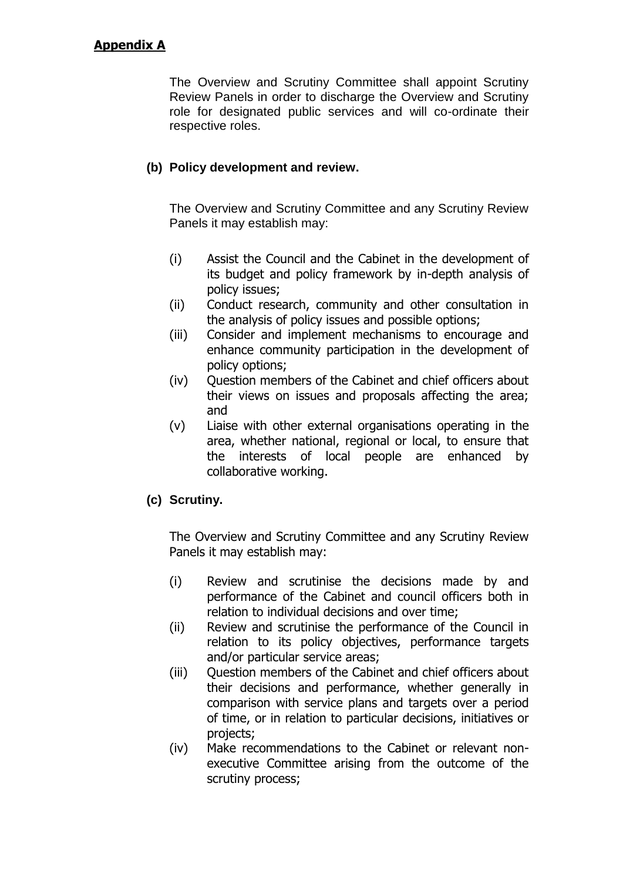The Overview and Scrutiny Committee shall appoint Scrutiny Review Panels in order to discharge the Overview and Scrutiny role for designated public services and will co-ordinate their respective roles.

### **(b) Policy development and review.**

The Overview and Scrutiny Committee and any Scrutiny Review Panels it may establish may:

- (i) Assist the Council and the Cabinet in the development of its budget and policy framework by in-depth analysis of policy issues;
- (ii) Conduct research, community and other consultation in the analysis of policy issues and possible options;
- (iii) Consider and implement mechanisms to encourage and enhance community participation in the development of policy options;
- (iv) Question members of the Cabinet and chief officers about their views on issues and proposals affecting the area; and
- (v) Liaise with other external organisations operating in the area, whether national, regional or local, to ensure that the interests of local people are enhanced by collaborative working.

### **(c) Scrutiny.**

The Overview and Scrutiny Committee and any Scrutiny Review Panels it may establish may:

- (i) Review and scrutinise the decisions made by and performance of the Cabinet and council officers both in relation to individual decisions and over time;
- (ii) Review and scrutinise the performance of the Council in relation to its policy objectives, performance targets and/or particular service areas;
- (iii) Question members of the Cabinet and chief officers about their decisions and performance, whether generally in comparison with service plans and targets over a period of time, or in relation to particular decisions, initiatives or projects;
- (iv) Make recommendations to the Cabinet or relevant nonexecutive Committee arising from the outcome of the scrutiny process;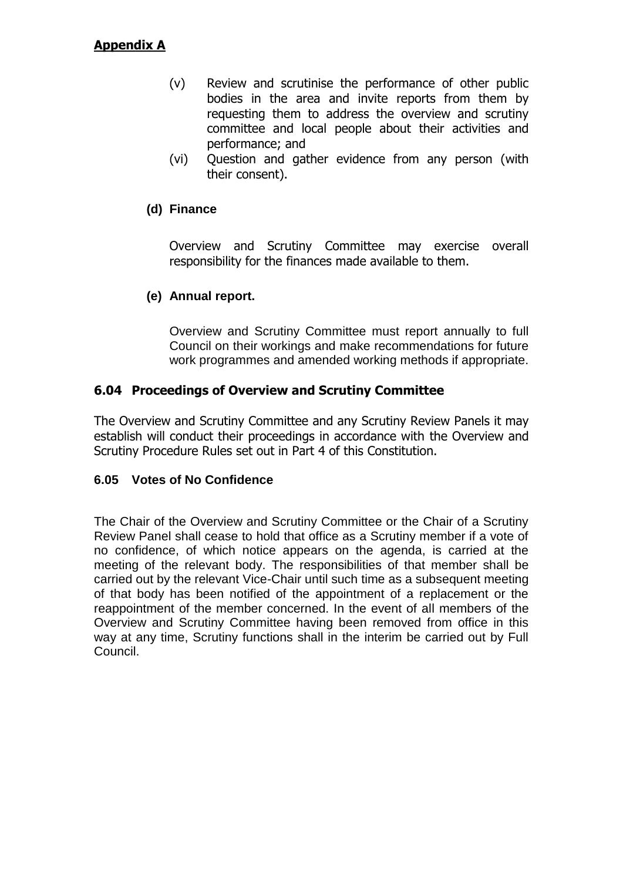- (v) Review and scrutinise the performance of other public bodies in the area and invite reports from them by requesting them to address the overview and scrutiny committee and local people about their activities and performance; and
- (vi) Question and gather evidence from any person (with their consent).

#### **(d) Finance**

Overview and Scrutiny Committee may exercise overall responsibility for the finances made available to them.

### **(e) Annual report.**

Overview and Scrutiny Committee must report annually to full Council on their workings and make recommendations for future work programmes and amended working methods if appropriate.

#### **6.04 Proceedings of Overview and Scrutiny Committee**

The Overview and Scrutiny Committee and any Scrutiny Review Panels it may establish will conduct their proceedings in accordance with the Overview and Scrutiny Procedure Rules set out in Part 4 of this Constitution.

#### **6.05 Votes of No Confidence**

The Chair of the Overview and Scrutiny Committee or the Chair of a Scrutiny Review Panel shall cease to hold that office as a Scrutiny member if a vote of no confidence, of which notice appears on the agenda, is carried at the meeting of the relevant body. The responsibilities of that member shall be carried out by the relevant Vice-Chair until such time as a subsequent meeting of that body has been notified of the appointment of a replacement or the reappointment of the member concerned. In the event of all members of the Overview and Scrutiny Committee having been removed from office in this way at any time, Scrutiny functions shall in the interim be carried out by Full Council.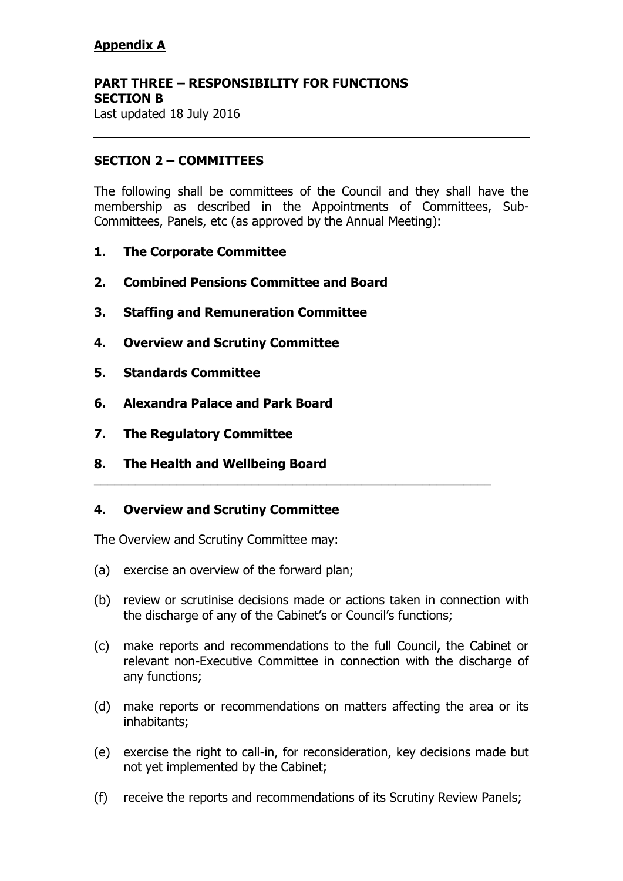### **PART THREE – RESPONSIBILITY FOR FUNCTIONS SECTION B**

Last updated 18 July 2016

### **SECTION 2 – COMMITTEES**

The following shall be committees of the Council and they shall have the membership as described in the Appointments of Committees, Sub-Committees, Panels, etc (as approved by the Annual Meeting):

- **1. The Corporate Committee**
- **2. Combined Pensions Committee and Board**
- **3. Staffing and Remuneration Committee**
- **4. Overview and Scrutiny Committee**
- **5. Standards Committee**
- **6. Alexandra Palace and Park Board**
- **7. The Regulatory Committee**
- **8. The Health and Wellbeing Board**

### **4. Overview and Scrutiny Committee**

The Overview and Scrutiny Committee may:

- (a) exercise an overview of the forward plan;
- (b) review or scrutinise decisions made or actions taken in connection with the discharge of any of the Cabinet's or Council's functions;

\_\_\_\_\_\_\_\_\_\_\_\_\_\_\_\_\_\_\_\_\_\_\_\_\_\_\_\_\_\_\_\_\_\_\_\_\_\_\_\_\_\_\_\_\_\_\_\_\_\_\_\_\_\_\_\_\_\_

- (c) make reports and recommendations to the full Council, the Cabinet or relevant non-Executive Committee in connection with the discharge of any functions;
- (d) make reports or recommendations on matters affecting the area or its inhabitants;
- (e) exercise the right to call-in, for reconsideration, key decisions made but not yet implemented by the Cabinet;
- (f) receive the reports and recommendations of its Scrutiny Review Panels;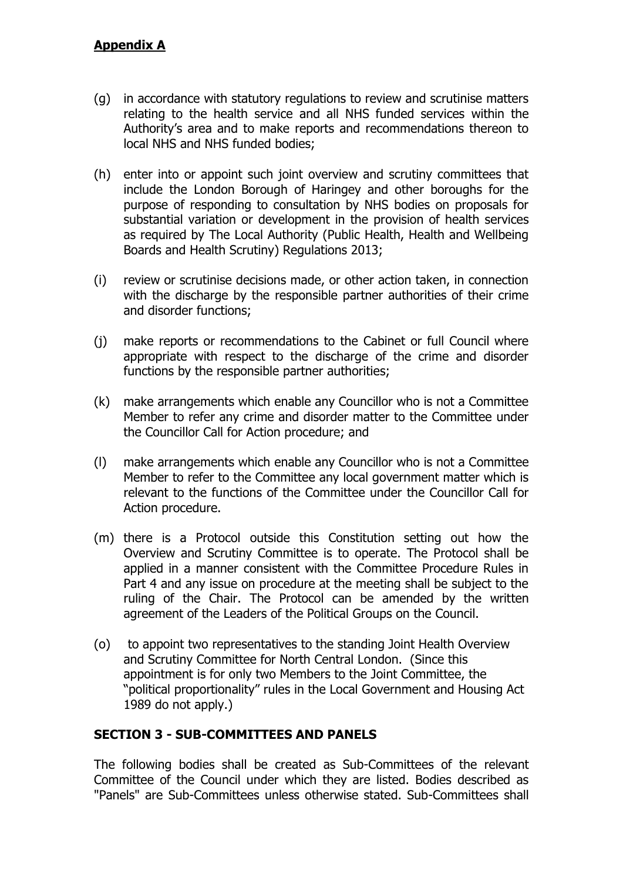- (g) in accordance with statutory regulations to review and scrutinise matters relating to the health service and all NHS funded services within the Authority's area and to make reports and recommendations thereon to local NHS and NHS funded bodies;
- (h) enter into or appoint such joint overview and scrutiny committees that include the London Borough of Haringey and other boroughs for the purpose of responding to consultation by NHS bodies on proposals for substantial variation or development in the provision of health services as required by The Local Authority (Public Health, Health and Wellbeing Boards and Health Scrutiny) Regulations 2013;
- (i) review or scrutinise decisions made, or other action taken, in connection with the discharge by the responsible partner authorities of their crime and disorder functions;
- (j) make reports or recommendations to the Cabinet or full Council where appropriate with respect to the discharge of the crime and disorder functions by the responsible partner authorities;
- (k) make arrangements which enable any Councillor who is not a Committee Member to refer any crime and disorder matter to the Committee under the Councillor Call for Action procedure; and
- (l) make arrangements which enable any Councillor who is not a Committee Member to refer to the Committee any local government matter which is relevant to the functions of the Committee under the Councillor Call for Action procedure.
- (m) there is a Protocol outside this Constitution setting out how the Overview and Scrutiny Committee is to operate. The Protocol shall be applied in a manner consistent with the Committee Procedure Rules in Part 4 and any issue on procedure at the meeting shall be subject to the ruling of the Chair. The Protocol can be amended by the written agreement of the Leaders of the Political Groups on the Council.
- (o) to appoint two representatives to the standing Joint Health Overview and Scrutiny Committee for North Central London. (Since this appointment is for only two Members to the Joint Committee, the "political proportionality" rules in the Local Government and Housing Act 1989 do not apply.)

### **SECTION 3 - SUB-COMMITTEES AND PANELS**

The following bodies shall be created as Sub-Committees of the relevant Committee of the Council under which they are listed. Bodies described as "Panels" are Sub-Committees unless otherwise stated. Sub-Committees shall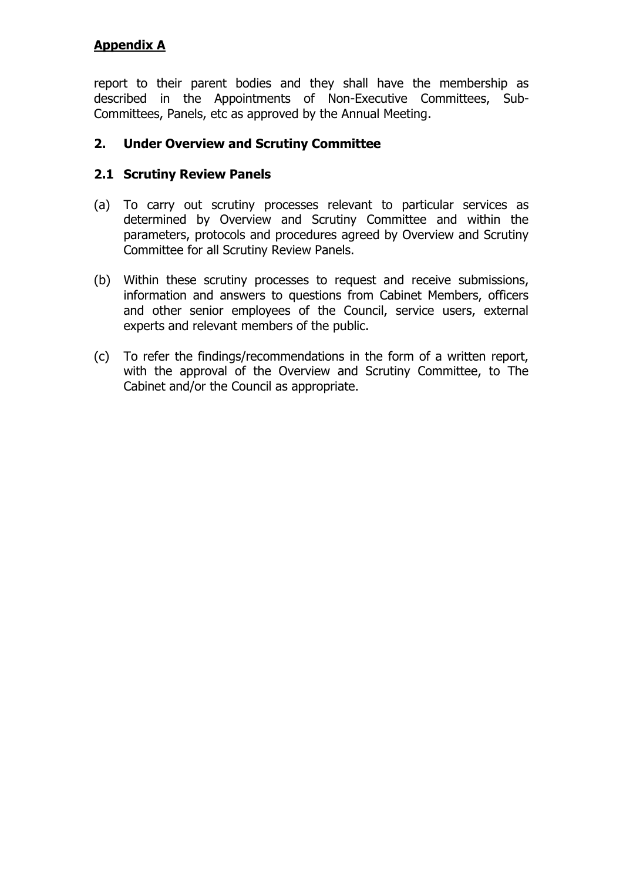report to their parent bodies and they shall have the membership as described in the Appointments of Non-Executive Committees, Sub-Committees, Panels, etc as approved by the Annual Meeting.

### **2. Under Overview and Scrutiny Committee**

### **2.1 Scrutiny Review Panels**

- (a) To carry out scrutiny processes relevant to particular services as determined by Overview and Scrutiny Committee and within the parameters, protocols and procedures agreed by Overview and Scrutiny Committee for all Scrutiny Review Panels.
- (b) Within these scrutiny processes to request and receive submissions, information and answers to questions from Cabinet Members, officers and other senior employees of the Council, service users, external experts and relevant members of the public.
- (c) To refer the findings/recommendations in the form of a written report, with the approval of the Overview and Scrutiny Committee, to The Cabinet and/or the Council as appropriate.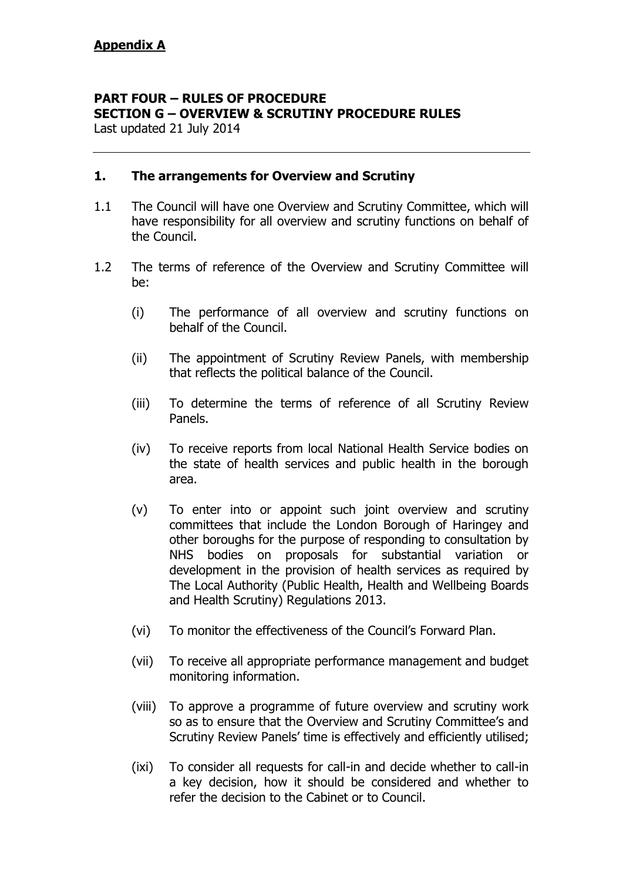# **PART FOUR – RULES OF PROCEDURE SECTION G – OVERVIEW & SCRUTINY PROCEDURE RULES**

Last updated 21 July 2014

#### **1. The arrangements for Overview and Scrutiny**

- 1.1 The Council will have one Overview and Scrutiny Committee, which will have responsibility for all overview and scrutiny functions on behalf of the Council.
- 1.2 The terms of reference of the Overview and Scrutiny Committee will be:
	- (i) The performance of all overview and scrutiny functions on behalf of the Council.
	- (ii) The appointment of Scrutiny Review Panels, with membership that reflects the political balance of the Council.
	- (iii) To determine the terms of reference of all Scrutiny Review Panels.
	- (iv) To receive reports from local National Health Service bodies on the state of health services and public health in the borough area.
	- (v) To enter into or appoint such joint overview and scrutiny committees that include the London Borough of Haringey and other boroughs for the purpose of responding to consultation by NHS bodies on proposals for substantial variation or development in the provision of health services as required by The Local Authority (Public Health, Health and Wellbeing Boards and Health Scrutiny) Regulations 2013.
	- (vi) To monitor the effectiveness of the Council"s Forward Plan.
	- (vii) To receive all appropriate performance management and budget monitoring information.
	- (viii) To approve a programme of future overview and scrutiny work so as to ensure that the Overview and Scrutiny Committee's and Scrutiny Review Panels' time is effectively and efficiently utilised;
	- (ixi) To consider all requests for call-in and decide whether to call-in a key decision, how it should be considered and whether to refer the decision to the Cabinet or to Council.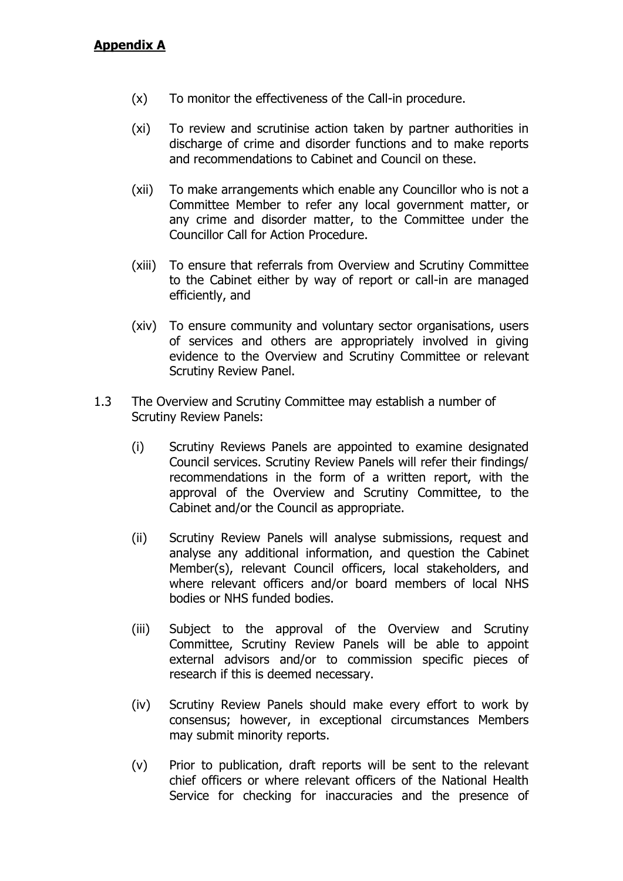- (x) To monitor the effectiveness of the Call-in procedure.
- (xi) To review and scrutinise action taken by partner authorities in discharge of crime and disorder functions and to make reports and recommendations to Cabinet and Council on these.
- (xii) To make arrangements which enable any Councillor who is not a Committee Member to refer any local government matter, or any crime and disorder matter, to the Committee under the Councillor Call for Action Procedure.
- (xiii) To ensure that referrals from Overview and Scrutiny Committee to the Cabinet either by way of report or call-in are managed efficiently, and
- (xiv) To ensure community and voluntary sector organisations, users of services and others are appropriately involved in giving evidence to the Overview and Scrutiny Committee or relevant Scrutiny Review Panel.
- 1.3 The Overview and Scrutiny Committee may establish a number of Scrutiny Review Panels:
	- (i) Scrutiny Reviews Panels are appointed to examine designated Council services. Scrutiny Review Panels will refer their findings/ recommendations in the form of a written report, with the approval of the Overview and Scrutiny Committee, to the Cabinet and/or the Council as appropriate.
	- (ii) Scrutiny Review Panels will analyse submissions, request and analyse any additional information, and question the Cabinet Member(s), relevant Council officers, local stakeholders, and where relevant officers and/or board members of local NHS bodies or NHS funded bodies.
	- (iii) Subject to the approval of the Overview and Scrutiny Committee, Scrutiny Review Panels will be able to appoint external advisors and/or to commission specific pieces of research if this is deemed necessary.
	- (iv) Scrutiny Review Panels should make every effort to work by consensus; however, in exceptional circumstances Members may submit minority reports.
	- (v) Prior to publication, draft reports will be sent to the relevant chief officers or where relevant officers of the National Health Service for checking for inaccuracies and the presence of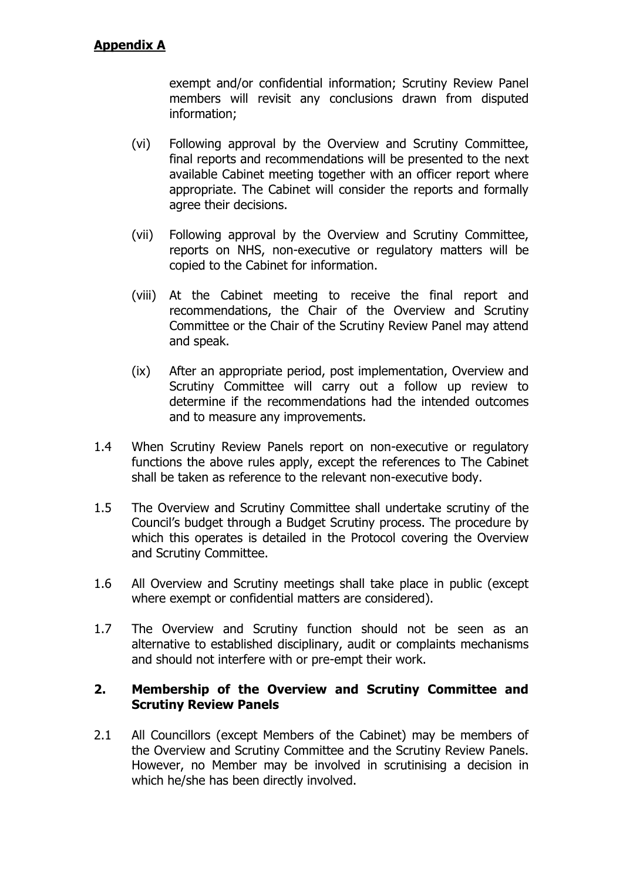exempt and/or confidential information; Scrutiny Review Panel members will revisit any conclusions drawn from disputed information;

- (vi) Following approval by the Overview and Scrutiny Committee, final reports and recommendations will be presented to the next available Cabinet meeting together with an officer report where appropriate. The Cabinet will consider the reports and formally agree their decisions.
- (vii) Following approval by the Overview and Scrutiny Committee, reports on NHS, non-executive or regulatory matters will be copied to the Cabinet for information.
- (viii) At the Cabinet meeting to receive the final report and recommendations, the Chair of the Overview and Scrutiny Committee or the Chair of the Scrutiny Review Panel may attend and speak.
- (ix) After an appropriate period, post implementation, Overview and Scrutiny Committee will carry out a follow up review to determine if the recommendations had the intended outcomes and to measure any improvements.
- 1.4 When Scrutiny Review Panels report on non-executive or regulatory functions the above rules apply, except the references to The Cabinet shall be taken as reference to the relevant non-executive body.
- 1.5 The Overview and Scrutiny Committee shall undertake scrutiny of the Council"s budget through a Budget Scrutiny process. The procedure by which this operates is detailed in the Protocol covering the Overview and Scrutiny Committee.
- 1.6 All Overview and Scrutiny meetings shall take place in public (except where exempt or confidential matters are considered).
- 1.7 The Overview and Scrutiny function should not be seen as an alternative to established disciplinary, audit or complaints mechanisms and should not interfere with or pre-empt their work.

#### **2. Membership of the Overview and Scrutiny Committee and Scrutiny Review Panels**

2.1 All Councillors (except Members of the Cabinet) may be members of the Overview and Scrutiny Committee and the Scrutiny Review Panels. However, no Member may be involved in scrutinising a decision in which he/she has been directly involved.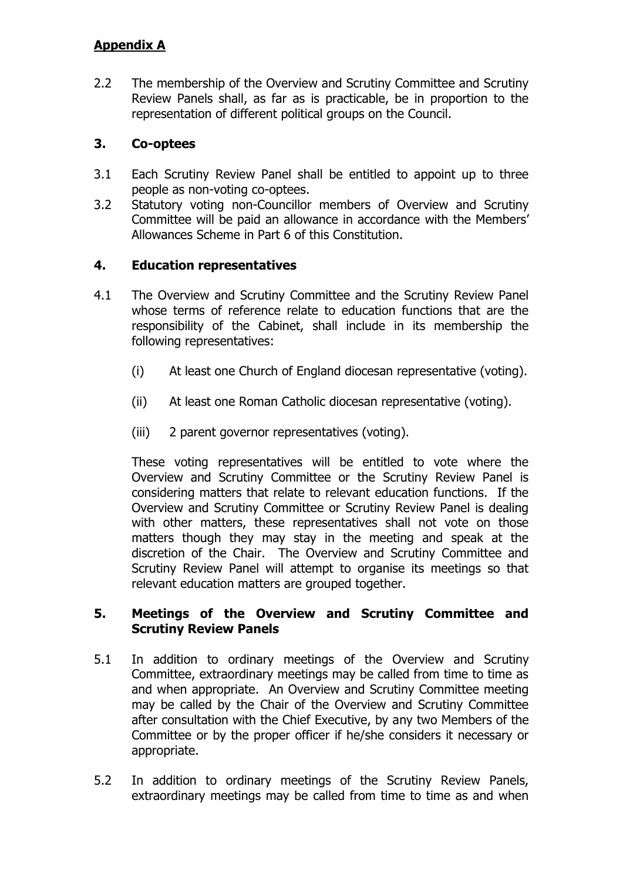2.2 The membership of the Overview and Scrutiny Committee and Scrutiny Review Panels shall, as far as is practicable, be in proportion to the representation of different political groups on the Council.

# **3. Co-optees**

- 3.1 Each Scrutiny Review Panel shall be entitled to appoint up to three people as non-voting co-optees.
- 3.2 Statutory voting non-Councillor members of Overview and Scrutiny Committee will be paid an allowance in accordance with the Members" Allowances Scheme in Part 6 of this Constitution.

### **4. Education representatives**

- 4.1 The Overview and Scrutiny Committee and the Scrutiny Review Panel whose terms of reference relate to education functions that are the responsibility of the Cabinet, shall include in its membership the following representatives:
	- (i) At least one Church of England diocesan representative (voting).
	- (ii) At least one Roman Catholic diocesan representative (voting).
	- (iii) 2 parent governor representatives (voting).

These voting representatives will be entitled to vote where the Overview and Scrutiny Committee or the Scrutiny Review Panel is considering matters that relate to relevant education functions. If the Overview and Scrutiny Committee or Scrutiny Review Panel is dealing with other matters, these representatives shall not vote on those matters though they may stay in the meeting and speak at the discretion of the Chair. The Overview and Scrutiny Committee and Scrutiny Review Panel will attempt to organise its meetings so that relevant education matters are grouped together.

### **5. Meetings of the Overview and Scrutiny Committee and Scrutiny Review Panels**

- 5.1 In addition to ordinary meetings of the Overview and Scrutiny Committee, extraordinary meetings may be called from time to time as and when appropriate. An Overview and Scrutiny Committee meeting may be called by the Chair of the Overview and Scrutiny Committee after consultation with the Chief Executive, by any two Members of the Committee or by the proper officer if he/she considers it necessary or appropriate.
- 5.2 In addition to ordinary meetings of the Scrutiny Review Panels, extraordinary meetings may be called from time to time as and when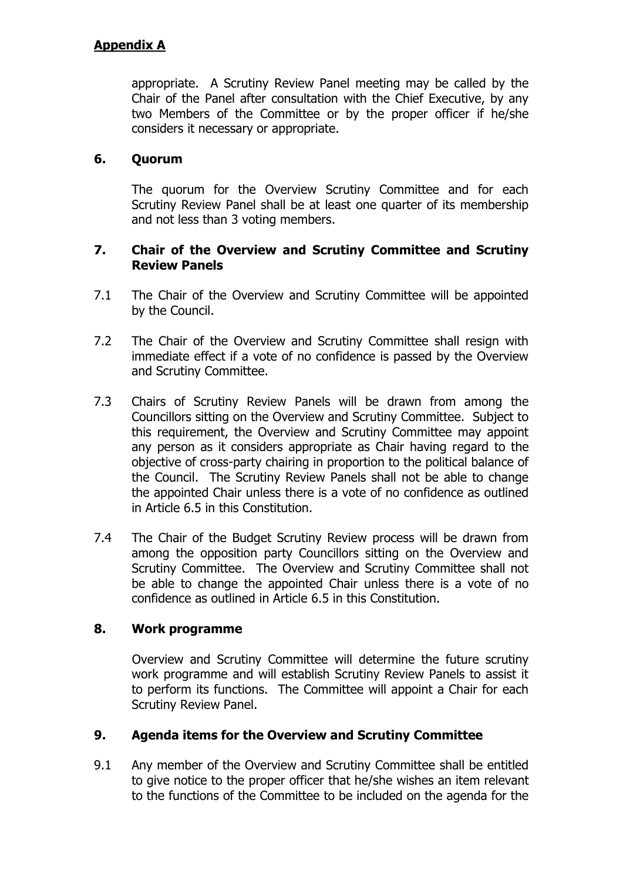appropriate. A Scrutiny Review Panel meeting may be called by the Chair of the Panel after consultation with the Chief Executive, by any two Members of the Committee or by the proper officer if he/she considers it necessary or appropriate.

### **6. Quorum**

The quorum for the Overview Scrutiny Committee and for each Scrutiny Review Panel shall be at least one quarter of its membership and not less than 3 voting members.

### **7. Chair of the Overview and Scrutiny Committee and Scrutiny Review Panels**

- 7.1 The Chair of the Overview and Scrutiny Committee will be appointed by the Council.
- 7.2 The Chair of the Overview and Scrutiny Committee shall resign with immediate effect if a vote of no confidence is passed by the Overview and Scrutiny Committee.
- 7.3 Chairs of Scrutiny Review Panels will be drawn from among the Councillors sitting on the Overview and Scrutiny Committee. Subject to this requirement, the Overview and Scrutiny Committee may appoint any person as it considers appropriate as Chair having regard to the objective of cross-party chairing in proportion to the political balance of the Council. The Scrutiny Review Panels shall not be able to change the appointed Chair unless there is a vote of no confidence as outlined in Article 6.5 in this Constitution.
- 7.4 The Chair of the Budget Scrutiny Review process will be drawn from among the opposition party Councillors sitting on the Overview and Scrutiny Committee. The Overview and Scrutiny Committee shall not be able to change the appointed Chair unless there is a vote of no confidence as outlined in Article 6.5 in this Constitution.

### **8. Work programme**

Overview and Scrutiny Committee will determine the future scrutiny work programme and will establish Scrutiny Review Panels to assist it to perform its functions. The Committee will appoint a Chair for each Scrutiny Review Panel.

### **9. Agenda items for the Overview and Scrutiny Committee**

9.1 Any member of the Overview and Scrutiny Committee shall be entitled to give notice to the proper officer that he/she wishes an item relevant to the functions of the Committee to be included on the agenda for the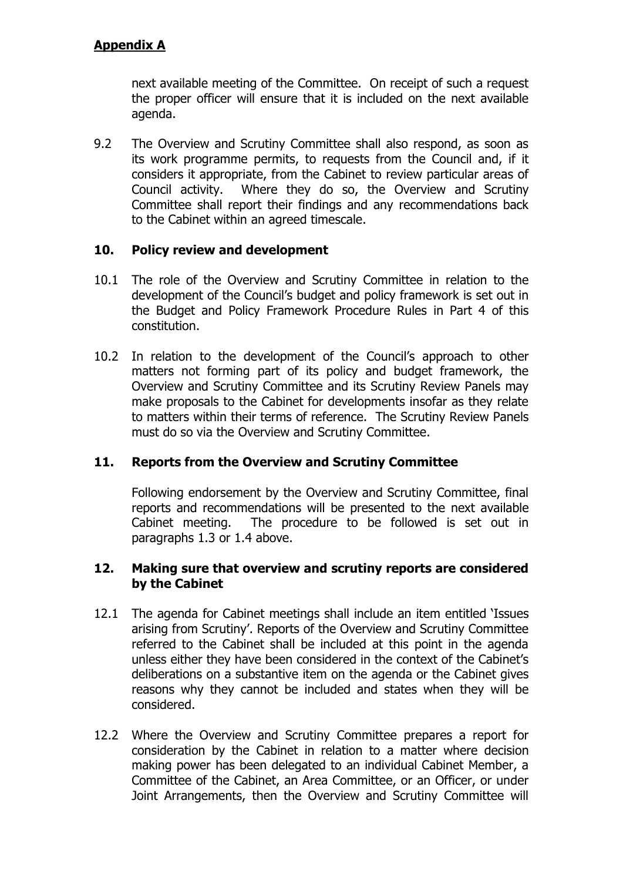next available meeting of the Committee. On receipt of such a request the proper officer will ensure that it is included on the next available agenda.

9.2 The Overview and Scrutiny Committee shall also respond, as soon as its work programme permits, to requests from the Council and, if it considers it appropriate, from the Cabinet to review particular areas of Council activity. Where they do so, the Overview and Scrutiny Committee shall report their findings and any recommendations back to the Cabinet within an agreed timescale.

### **10. Policy review and development**

- 10.1 The role of the Overview and Scrutiny Committee in relation to the development of the Council"s budget and policy framework is set out in the Budget and Policy Framework Procedure Rules in Part 4 of this constitution.
- 10.2 In relation to the development of the Council's approach to other matters not forming part of its policy and budget framework, the Overview and Scrutiny Committee and its Scrutiny Review Panels may make proposals to the Cabinet for developments insofar as they relate to matters within their terms of reference. The Scrutiny Review Panels must do so via the Overview and Scrutiny Committee.

### **11. Reports from the Overview and Scrutiny Committee**

Following endorsement by the Overview and Scrutiny Committee, final reports and recommendations will be presented to the next available Cabinet meeting. The procedure to be followed is set out in paragraphs 1.3 or 1.4 above.

#### **12. Making sure that overview and scrutiny reports are considered by the Cabinet**

- 12.1 The agenda for Cabinet meetings shall include an item entitled "Issues arising from Scrutiny'. Reports of the Overview and Scrutiny Committee referred to the Cabinet shall be included at this point in the agenda unless either they have been considered in the context of the Cabinet"s deliberations on a substantive item on the agenda or the Cabinet gives reasons why they cannot be included and states when they will be considered.
- 12.2 Where the Overview and Scrutiny Committee prepares a report for consideration by the Cabinet in relation to a matter where decision making power has been delegated to an individual Cabinet Member, a Committee of the Cabinet, an Area Committee, or an Officer, or under Joint Arrangements, then the Overview and Scrutiny Committee will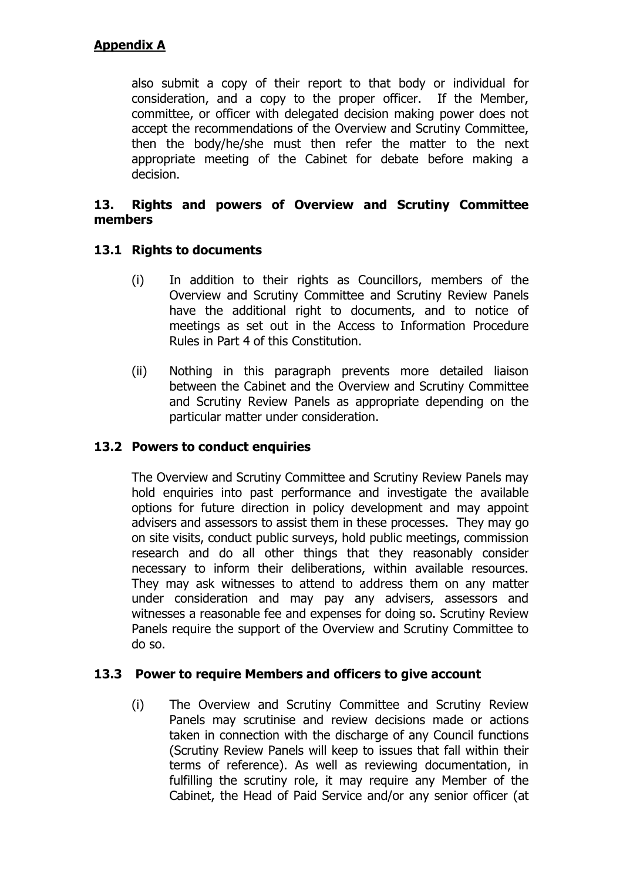also submit a copy of their report to that body or individual for consideration, and a copy to the proper officer. If the Member, committee, or officer with delegated decision making power does not accept the recommendations of the Overview and Scrutiny Committee, then the body/he/she must then refer the matter to the next appropriate meeting of the Cabinet for debate before making a decision.

#### **13. Rights and powers of Overview and Scrutiny Committee members**

### **13.1 Rights to documents**

- (i) In addition to their rights as Councillors, members of the Overview and Scrutiny Committee and Scrutiny Review Panels have the additional right to documents, and to notice of meetings as set out in the Access to Information Procedure Rules in Part 4 of this Constitution.
- (ii) Nothing in this paragraph prevents more detailed liaison between the Cabinet and the Overview and Scrutiny Committee and Scrutiny Review Panels as appropriate depending on the particular matter under consideration.

### **13.2 Powers to conduct enquiries**

The Overview and Scrutiny Committee and Scrutiny Review Panels may hold enquiries into past performance and investigate the available options for future direction in policy development and may appoint advisers and assessors to assist them in these processes. They may go on site visits, conduct public surveys, hold public meetings, commission research and do all other things that they reasonably consider necessary to inform their deliberations, within available resources. They may ask witnesses to attend to address them on any matter under consideration and may pay any advisers, assessors and witnesses a reasonable fee and expenses for doing so. Scrutiny Review Panels require the support of the Overview and Scrutiny Committee to do so.

### **13.3 Power to require Members and officers to give account**

(i) The Overview and Scrutiny Committee and Scrutiny Review Panels may scrutinise and review decisions made or actions taken in connection with the discharge of any Council functions (Scrutiny Review Panels will keep to issues that fall within their terms of reference). As well as reviewing documentation, in fulfilling the scrutiny role, it may require any Member of the Cabinet, the Head of Paid Service and/or any senior officer (at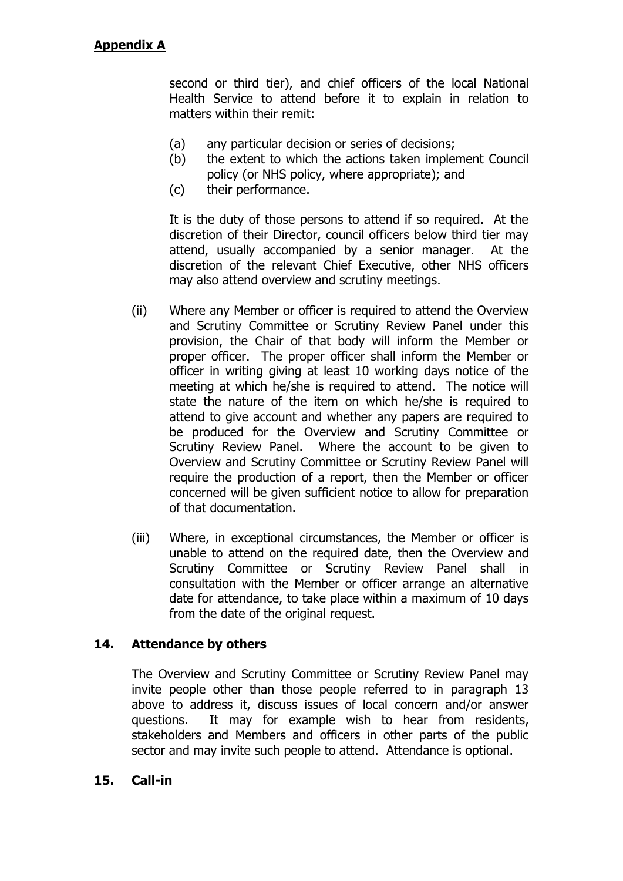second or third tier), and chief officers of the local National Health Service to attend before it to explain in relation to matters within their remit:

- (a) any particular decision or series of decisions;
- (b) the extent to which the actions taken implement Council policy (or NHS policy, where appropriate); and
- (c) their performance.

It is the duty of those persons to attend if so required. At the discretion of their Director, council officers below third tier may attend, usually accompanied by a senior manager. At the discretion of the relevant Chief Executive, other NHS officers may also attend overview and scrutiny meetings.

- (ii) Where any Member or officer is required to attend the Overview and Scrutiny Committee or Scrutiny Review Panel under this provision, the Chair of that body will inform the Member or proper officer. The proper officer shall inform the Member or officer in writing giving at least 10 working days notice of the meeting at which he/she is required to attend. The notice will state the nature of the item on which he/she is required to attend to give account and whether any papers are required to be produced for the Overview and Scrutiny Committee or Scrutiny Review Panel. Where the account to be given to Overview and Scrutiny Committee or Scrutiny Review Panel will require the production of a report, then the Member or officer concerned will be given sufficient notice to allow for preparation of that documentation.
- (iii) Where, in exceptional circumstances, the Member or officer is unable to attend on the required date, then the Overview and Scrutiny Committee or Scrutiny Review Panel shall in consultation with the Member or officer arrange an alternative date for attendance, to take place within a maximum of 10 days from the date of the original request.

### **14. Attendance by others**

The Overview and Scrutiny Committee or Scrutiny Review Panel may invite people other than those people referred to in paragraph 13 above to address it, discuss issues of local concern and/or answer questions. It may for example wish to hear from residents, stakeholders and Members and officers in other parts of the public sector and may invite such people to attend. Attendance is optional.

### **15. Call-in**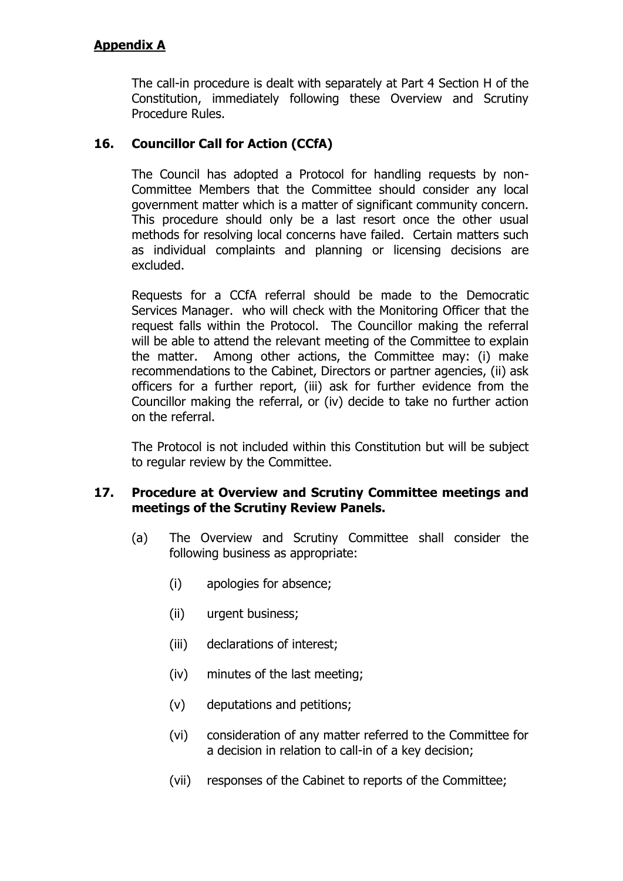The call-in procedure is dealt with separately at Part 4 Section H of the Constitution, immediately following these Overview and Scrutiny Procedure Rules.

### **16. Councillor Call for Action (CCfA)**

The Council has adopted a Protocol for handling requests by non-Committee Members that the Committee should consider any local government matter which is a matter of significant community concern. This procedure should only be a last resort once the other usual methods for resolving local concerns have failed. Certain matters such as individual complaints and planning or licensing decisions are excluded.

Requests for a CCfA referral should be made to the Democratic Services Manager. who will check with the Monitoring Officer that the request falls within the Protocol. The Councillor making the referral will be able to attend the relevant meeting of the Committee to explain the matter. Among other actions, the Committee may: (i) make recommendations to the Cabinet, Directors or partner agencies, (ii) ask officers for a further report, (iii) ask for further evidence from the Councillor making the referral, or (iv) decide to take no further action on the referral.

The Protocol is not included within this Constitution but will be subject to regular review by the Committee.

#### **17. Procedure at Overview and Scrutiny Committee meetings and meetings of the Scrutiny Review Panels.**

- (a) The Overview and Scrutiny Committee shall consider the following business as appropriate:
	- (i) apologies for absence;
	- (ii) urgent business;
	- (iii) declarations of interest;
	- (iv) minutes of the last meeting;
	- (v) deputations and petitions;
	- (vi) consideration of any matter referred to the Committee for a decision in relation to call-in of a key decision;
	- (vii) responses of the Cabinet to reports of the Committee;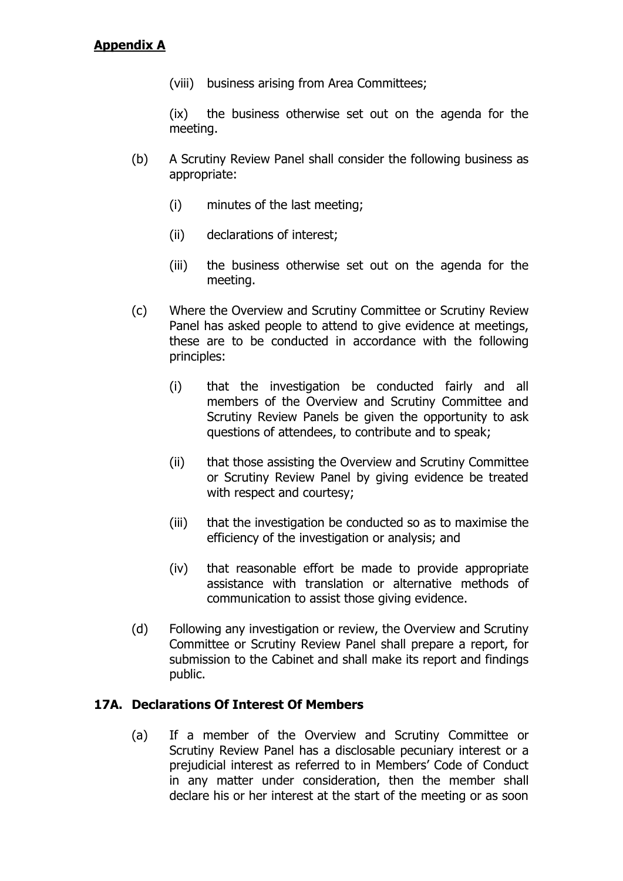(viii) business arising from Area Committees;

(ix) the business otherwise set out on the agenda for the meeting.

- (b) A Scrutiny Review Panel shall consider the following business as appropriate:
	- (i) minutes of the last meeting;
	- (ii) declarations of interest;
	- (iii) the business otherwise set out on the agenda for the meeting.
- (c) Where the Overview and Scrutiny Committee or Scrutiny Review Panel has asked people to attend to give evidence at meetings, these are to be conducted in accordance with the following principles:
	- (i) that the investigation be conducted fairly and all members of the Overview and Scrutiny Committee and Scrutiny Review Panels be given the opportunity to ask questions of attendees, to contribute and to speak;
	- (ii) that those assisting the Overview and Scrutiny Committee or Scrutiny Review Panel by giving evidence be treated with respect and courtesy;
	- (iii) that the investigation be conducted so as to maximise the efficiency of the investigation or analysis; and
	- (iv) that reasonable effort be made to provide appropriate assistance with translation or alternative methods of communication to assist those giving evidence.
- (d) Following any investigation or review, the Overview and Scrutiny Committee or Scrutiny Review Panel shall prepare a report, for submission to the Cabinet and shall make its report and findings public.

### **17A. Declarations Of Interest Of Members**

(a) If a member of the Overview and Scrutiny Committee or Scrutiny Review Panel has a disclosable pecuniary interest or a prejudicial interest as referred to in Members" Code of Conduct in any matter under consideration, then the member shall declare his or her interest at the start of the meeting or as soon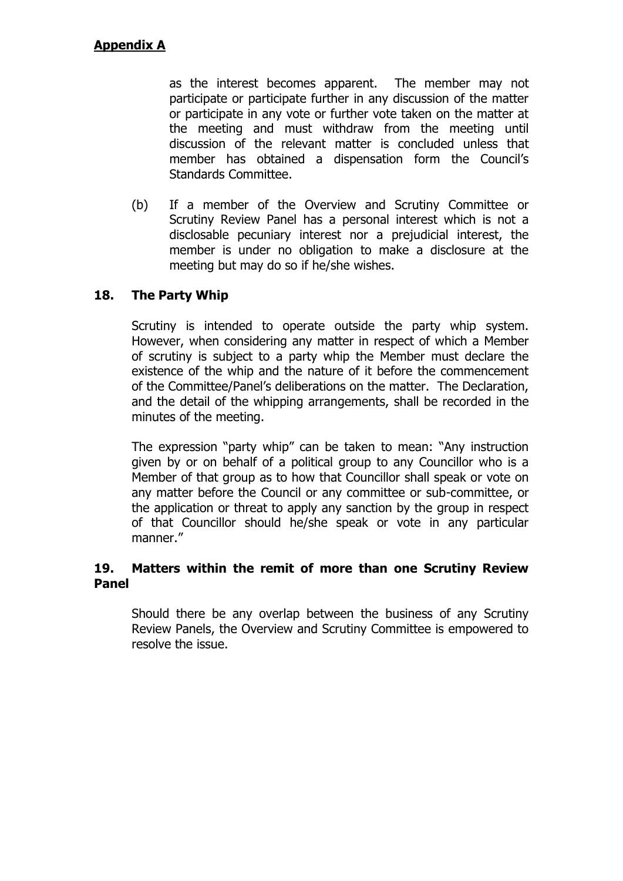as the interest becomes apparent. The member may not participate or participate further in any discussion of the matter or participate in any vote or further vote taken on the matter at the meeting and must withdraw from the meeting until discussion of the relevant matter is concluded unless that member has obtained a dispensation form the Council's Standards Committee.

(b) If a member of the Overview and Scrutiny Committee or Scrutiny Review Panel has a personal interest which is not a disclosable pecuniary interest nor a prejudicial interest, the member is under no obligation to make a disclosure at the meeting but may do so if he/she wishes.

# **18. The Party Whip**

Scrutiny is intended to operate outside the party whip system. However, when considering any matter in respect of which a Member of scrutiny is subject to a party whip the Member must declare the existence of the whip and the nature of it before the commencement of the Committee/Panel"s deliberations on the matter. The Declaration, and the detail of the whipping arrangements, shall be recorded in the minutes of the meeting.

The expression "party whip" can be taken to mean: "Any instruction given by or on behalf of a political group to any Councillor who is a Member of that group as to how that Councillor shall speak or vote on any matter before the Council or any committee or sub-committee, or the application or threat to apply any sanction by the group in respect of that Councillor should he/she speak or vote in any particular manner."

### **19. Matters within the remit of more than one Scrutiny Review Panel**

Should there be any overlap between the business of any Scrutiny Review Panels, the Overview and Scrutiny Committee is empowered to resolve the issue.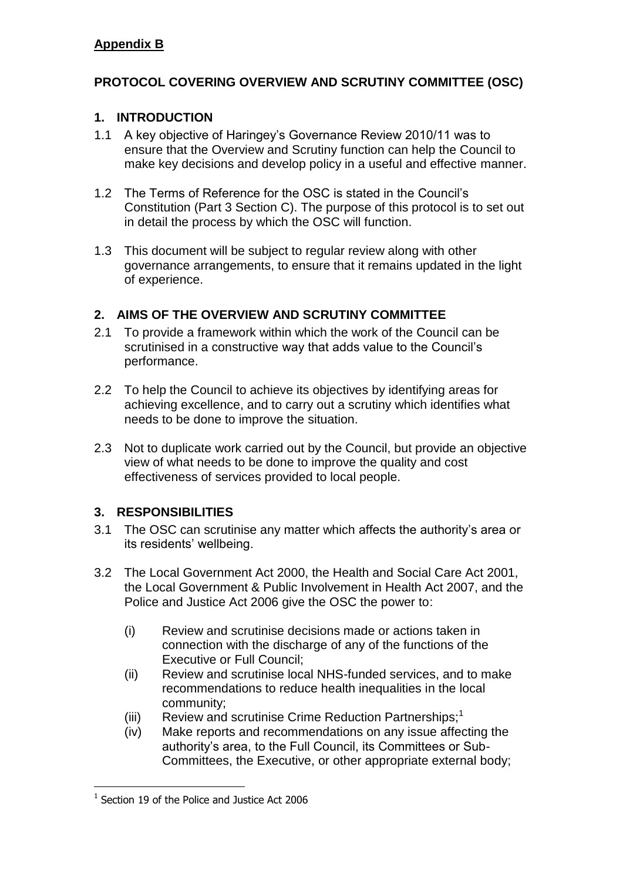# **PROTOCOL COVERING OVERVIEW AND SCRUTINY COMMITTEE (OSC)**

### **1. INTRODUCTION**

- 1.1 A key objective of Haringey's Governance Review 2010/11 was to ensure that the Overview and Scrutiny function can help the Council to make key decisions and develop policy in a useful and effective manner.
- 1.2 The Terms of Reference for the OSC is stated in the Council's Constitution (Part 3 Section C). The purpose of this protocol is to set out in detail the process by which the OSC will function.
- 1.3 This document will be subject to regular review along with other governance arrangements, to ensure that it remains updated in the light of experience.

### **2. AIMS OF THE OVERVIEW AND SCRUTINY COMMITTEE**

- 2.1 To provide a framework within which the work of the Council can be scrutinised in a constructive way that adds value to the Council's performance.
- 2.2 To help the Council to achieve its objectives by identifying areas for achieving excellence, and to carry out a scrutiny which identifies what needs to be done to improve the situation.
- 2.3 Not to duplicate work carried out by the Council, but provide an objective view of what needs to be done to improve the quality and cost effectiveness of services provided to local people.

# **3. RESPONSIBILITIES**

- 3.1 The OSC can scrutinise any matter which affects the authority's area or its residents' wellbeing.
- 3.2 The Local Government Act 2000, the Health and Social Care Act 2001, the Local Government & Public Involvement in Health Act 2007, and the Police and Justice Act 2006 give the OSC the power to:
	- (i) Review and scrutinise decisions made or actions taken in connection with the discharge of any of the functions of the Executive or Full Council;
	- (ii) Review and scrutinise local NHS-funded services, and to make recommendations to reduce health inequalities in the local community;
	- (iii) Review and scrutinise Crime Reduction Partnerships;<sup>1</sup>
	- (iv) Make reports and recommendations on any issue affecting the authority's area, to the Full Council, its Committees or Sub-Committees, the Executive, or other appropriate external body;

<sup>-</sup><sup>1</sup> Section 19 of the Police and Justice Act 2006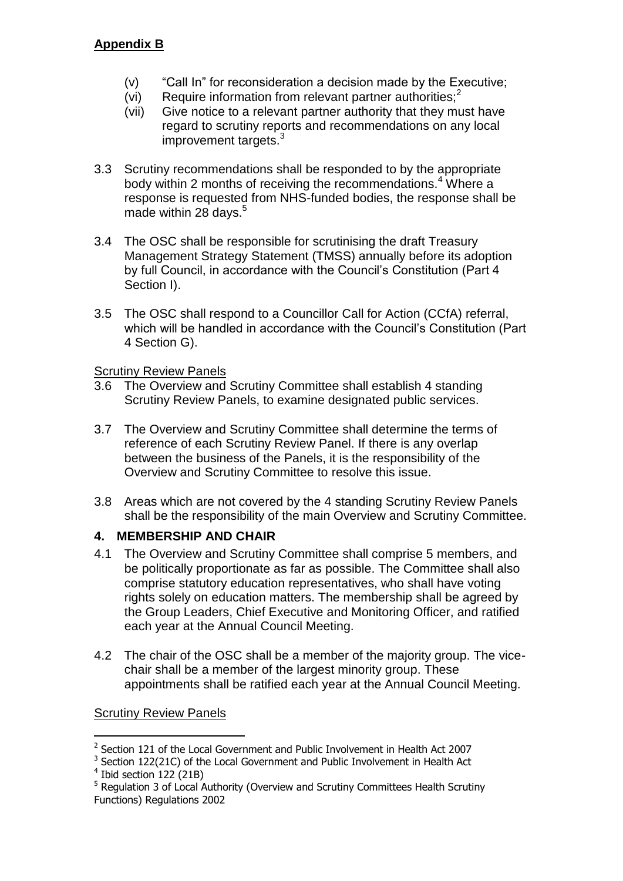- (v) "Call In" for reconsideration a decision made by the Executive;
- $(vi)$  Require information from relevant partner authorities;<sup>2</sup>
- (vii) Give notice to a relevant partner authority that they must have regard to scrutiny reports and recommendations on any local improvement targets.<sup>3</sup>
- 3.3 Scrutiny recommendations shall be responded to by the appropriate body within 2 months of receiving the recommendations.<sup>4</sup> Where a response is requested from NHS-funded bodies, the response shall be made within 28 days.<sup>5</sup>
- 3.4 The OSC shall be responsible for scrutinising the draft Treasury Management Strategy Statement (TMSS) annually before its adoption by full Council, in accordance with the Council's Constitution (Part 4 Section I).
- 3.5 The OSC shall respond to a Councillor Call for Action (CCfA) referral, which will be handled in accordance with the Council's Constitution (Part 4 Section G).

### Scrutiny Review Panels

- 3.6 The Overview and Scrutiny Committee shall establish 4 standing Scrutiny Review Panels, to examine designated public services.
- 3.7 The Overview and Scrutiny Committee shall determine the terms of reference of each Scrutiny Review Panel. If there is any overlap between the business of the Panels, it is the responsibility of the Overview and Scrutiny Committee to resolve this issue.
- 3.8 Areas which are not covered by the 4 standing Scrutiny Review Panels shall be the responsibility of the main Overview and Scrutiny Committee.

# **4. MEMBERSHIP AND CHAIR**

- 4.1 The Overview and Scrutiny Committee shall comprise 5 members, and be politically proportionate as far as possible. The Committee shall also comprise statutory education representatives, who shall have voting rights solely on education matters. The membership shall be agreed by the Group Leaders, Chief Executive and Monitoring Officer, and ratified each year at the Annual Council Meeting.
- 4.2 The chair of the OSC shall be a member of the majority group. The vicechair shall be a member of the largest minority group. These appointments shall be ratified each year at the Annual Council Meeting.

# Scrutiny Review Panels

-

<sup>&</sup>lt;sup>2</sup> Section 121 of the Local Government and Public Involvement in Health Act 2007

 $3$  Section 122(21C) of the Local Government and Public Involvement in Health Act

<sup>4</sup> Ibid section 122 (21B)

<sup>&</sup>lt;sup>5</sup> Regulation 3 of Local Authority (Overview and Scrutiny Committees Health Scrutiny Functions) Regulations 2002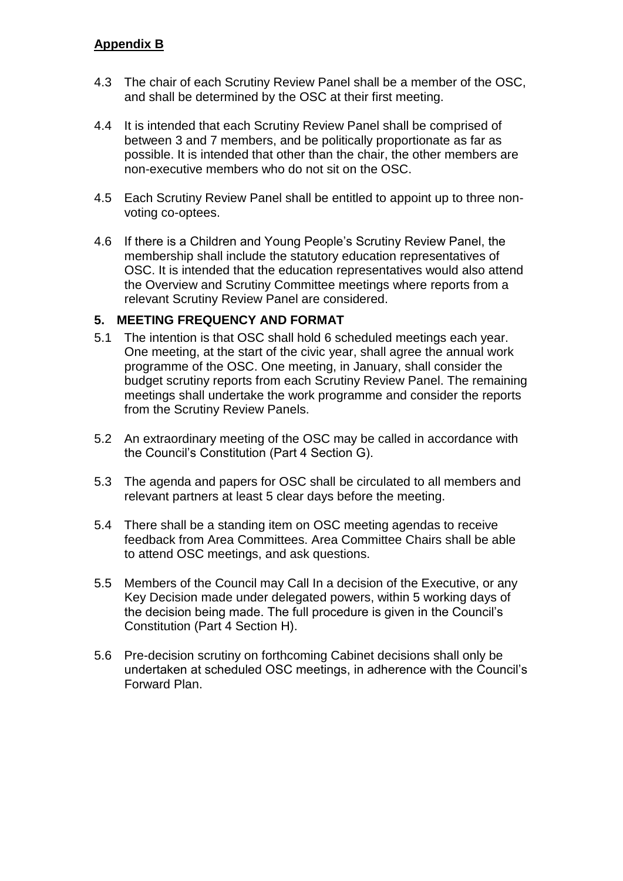### **Appendix B**

- 4.3 The chair of each Scrutiny Review Panel shall be a member of the OSC, and shall be determined by the OSC at their first meeting.
- 4.4 It is intended that each Scrutiny Review Panel shall be comprised of between 3 and 7 members, and be politically proportionate as far as possible. It is intended that other than the chair, the other members are non-executive members who do not sit on the OSC.
- 4.5 Each Scrutiny Review Panel shall be entitled to appoint up to three nonvoting co-optees.
- 4.6 If there is a Children and Young People's Scrutiny Review Panel, the membership shall include the statutory education representatives of OSC. It is intended that the education representatives would also attend the Overview and Scrutiny Committee meetings where reports from a relevant Scrutiny Review Panel are considered.

#### **5. MEETING FREQUENCY AND FORMAT**

- 5.1 The intention is that OSC shall hold 6 scheduled meetings each year. One meeting, at the start of the civic year, shall agree the annual work programme of the OSC. One meeting, in January, shall consider the budget scrutiny reports from each Scrutiny Review Panel. The remaining meetings shall undertake the work programme and consider the reports from the Scrutiny Review Panels.
- 5.2 An extraordinary meeting of the OSC may be called in accordance with the Council's Constitution (Part 4 Section G).
- 5.3 The agenda and papers for OSC shall be circulated to all members and relevant partners at least 5 clear days before the meeting.
- 5.4 There shall be a standing item on OSC meeting agendas to receive feedback from Area Committees. Area Committee Chairs shall be able to attend OSC meetings, and ask questions.
- 5.5 Members of the Council may Call In a decision of the Executive, or any Key Decision made under delegated powers, within 5 working days of the decision being made. The full procedure is given in the Council's Constitution (Part 4 Section H).
- 5.6 Pre-decision scrutiny on forthcoming Cabinet decisions shall only be undertaken at scheduled OSC meetings, in adherence with the Council's Forward Plan.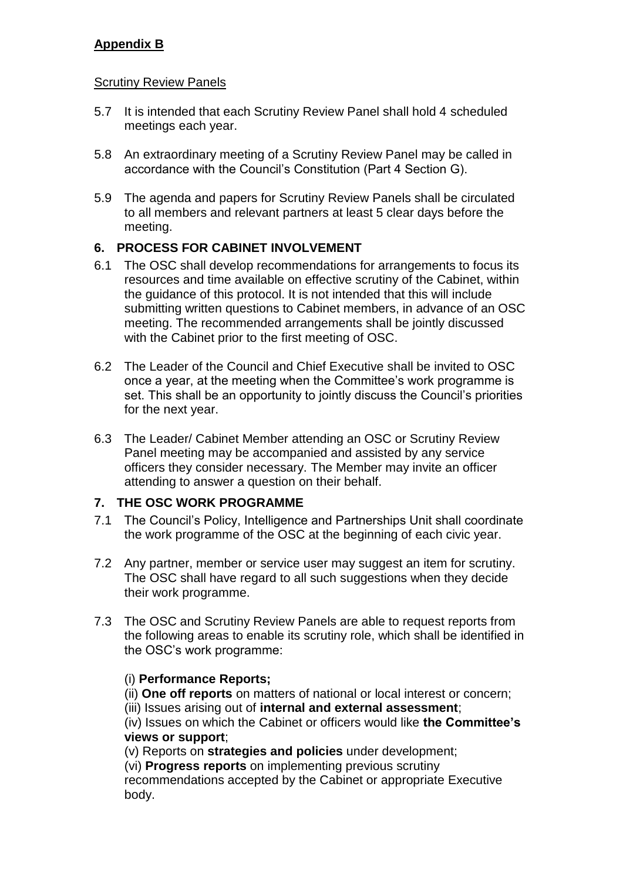### **Appendix B**

#### Scrutiny Review Panels

- 5.7 It is intended that each Scrutiny Review Panel shall hold 4 scheduled meetings each year.
- 5.8 An extraordinary meeting of a Scrutiny Review Panel may be called in accordance with the Council's Constitution (Part 4 Section G).
- 5.9 The agenda and papers for Scrutiny Review Panels shall be circulated to all members and relevant partners at least 5 clear days before the meeting.

#### **6. PROCESS FOR CABINET INVOLVEMENT**

- 6.1 The OSC shall develop recommendations for arrangements to focus its resources and time available on effective scrutiny of the Cabinet, within the guidance of this protocol. It is not intended that this will include submitting written questions to Cabinet members, in advance of an OSC meeting. The recommended arrangements shall be jointly discussed with the Cabinet prior to the first meeting of OSC.
- 6.2 The Leader of the Council and Chief Executive shall be invited to OSC once a year, at the meeting when the Committee's work programme is set. This shall be an opportunity to jointly discuss the Council's priorities for the next year.
- 6.3 The Leader/ Cabinet Member attending an OSC or Scrutiny Review Panel meeting may be accompanied and assisted by any service officers they consider necessary. The Member may invite an officer attending to answer a question on their behalf.

### **7. THE OSC WORK PROGRAMME**

- 7.1 The Council's Policy, Intelligence and Partnerships Unit shall coordinate the work programme of the OSC at the beginning of each civic year.
- 7.2 Any partner, member or service user may suggest an item for scrutiny. The OSC shall have regard to all such suggestions when they decide their work programme.
- 7.3 The OSC and Scrutiny Review Panels are able to request reports from the following areas to enable its scrutiny role, which shall be identified in the OSC's work programme:

### (i) **Performance Reports;**

- (ii) **One off reports** on matters of national or local interest or concern;
- (iii) Issues arising out of **internal and external assessment**;

(iv) Issues on which the Cabinet or officers would like **the Committee's views or support**;

(v) Reports on **strategies and policies** under development;

(vi) **Progress reports** on implementing previous scrutiny

recommendations accepted by the Cabinet or appropriate Executive body.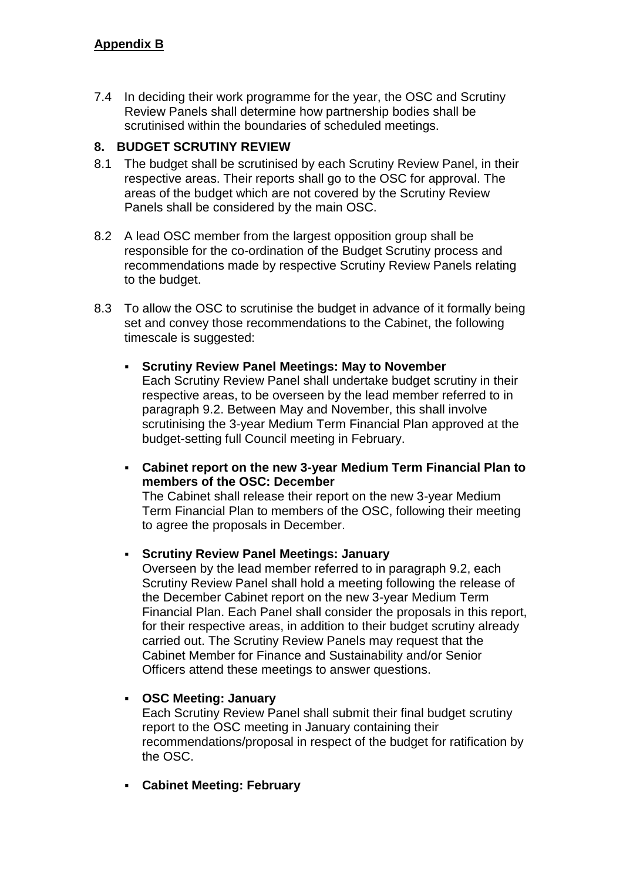7.4 In deciding their work programme for the year, the OSC and Scrutiny Review Panels shall determine how partnership bodies shall be scrutinised within the boundaries of scheduled meetings.

### **8. BUDGET SCRUTINY REVIEW**

- 8.1 The budget shall be scrutinised by each Scrutiny Review Panel, in their respective areas. Their reports shall go to the OSC for approval. The areas of the budget which are not covered by the Scrutiny Review Panels shall be considered by the main OSC.
- 8.2 A lead OSC member from the largest opposition group shall be responsible for the co-ordination of the Budget Scrutiny process and recommendations made by respective Scrutiny Review Panels relating to the budget.
- 8.3 To allow the OSC to scrutinise the budget in advance of it formally being set and convey those recommendations to the Cabinet, the following timescale is suggested:
	- **Scrutiny Review Panel Meetings: May to November** Each Scrutiny Review Panel shall undertake budget scrutiny in their respective areas, to be overseen by the lead member referred to in paragraph 9.2. Between May and November, this shall involve scrutinising the 3-year Medium Term Financial Plan approved at the budget-setting full Council meeting in February.
	- **Cabinet report on the new 3-year Medium Term Financial Plan to members of the OSC: December** The Cabinet shall release their report on the new 3-year Medium

Term Financial Plan to members of the OSC, following their meeting to agree the proposals in December.

#### **Scrutiny Review Panel Meetings: January**

Overseen by the lead member referred to in paragraph 9.2, each Scrutiny Review Panel shall hold a meeting following the release of the December Cabinet report on the new 3-year Medium Term Financial Plan. Each Panel shall consider the proposals in this report, for their respective areas, in addition to their budget scrutiny already carried out. The Scrutiny Review Panels may request that the Cabinet Member for Finance and Sustainability and/or Senior Officers attend these meetings to answer questions.

**OSC Meeting: January**

Each Scrutiny Review Panel shall submit their final budget scrutiny report to the OSC meeting in January containing their recommendations/proposal in respect of the budget for ratification by the OSC.

**Cabinet Meeting: February**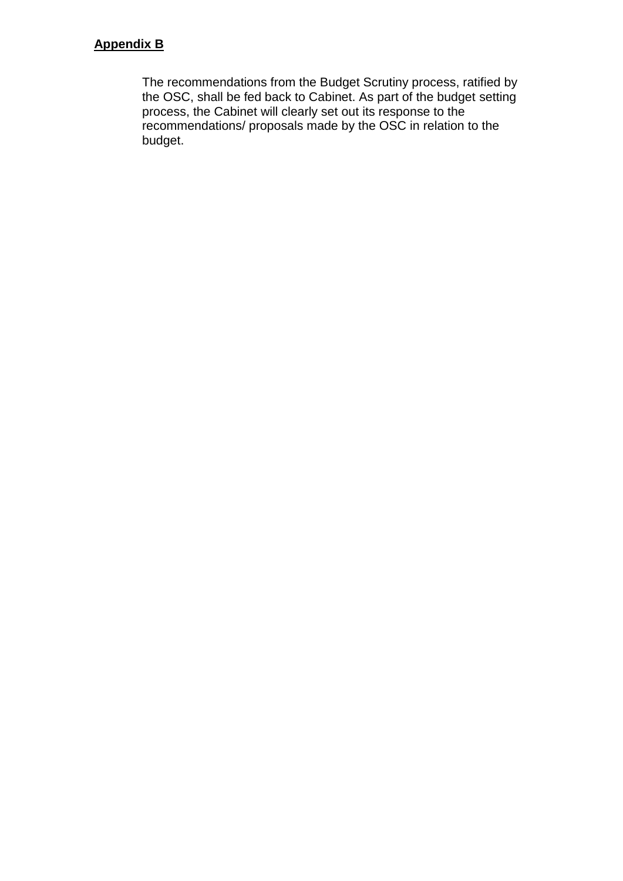### **Appendix B**

The recommendations from the Budget Scrutiny process, ratified by the OSC, shall be fed back to Cabinet. As part of the budget setting process, the Cabinet will clearly set out its response to the recommendations/ proposals made by the OSC in relation to the budget.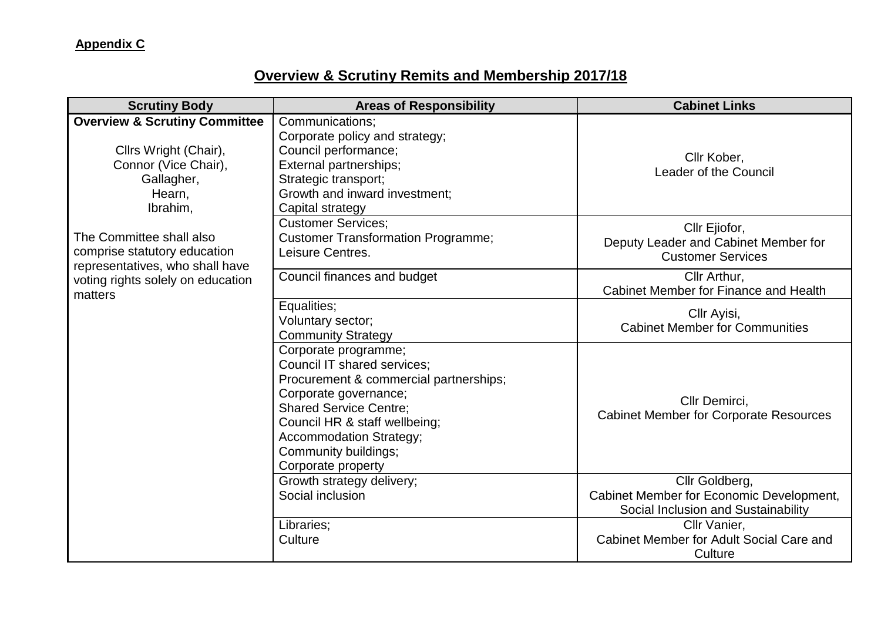# **Overview & Scrutiny Remits and Membership 2017/18**

| <b>Scrutiny Body</b>                                                                                                                                                                                                         | <b>Areas of Responsibility</b>                                                                                                                                                                                                                                                  | <b>Cabinet Links</b>                                                                              |
|------------------------------------------------------------------------------------------------------------------------------------------------------------------------------------------------------------------------------|---------------------------------------------------------------------------------------------------------------------------------------------------------------------------------------------------------------------------------------------------------------------------------|---------------------------------------------------------------------------------------------------|
| <b>Overview &amp; Scrutiny Committee</b><br>Cllrs Wright (Chair),<br>Connor (Vice Chair),<br>Gallagher,<br>Hearn,<br>Ibrahim,<br>The Committee shall also<br>comprise statutory education<br>representatives, who shall have | Communications;<br>Corporate policy and strategy;<br>Council performance;<br>External partnerships;<br>Strategic transport;<br>Growth and inward investment;                                                                                                                    | Cllr Kober,<br>Leader of the Council                                                              |
|                                                                                                                                                                                                                              | Capital strategy<br><b>Customer Services:</b><br><b>Customer Transformation Programme;</b><br>Leisure Centres.                                                                                                                                                                  | Cllr Ejiofor,<br>Deputy Leader and Cabinet Member for<br><b>Customer Services</b>                 |
| voting rights solely on education<br>matters                                                                                                                                                                                 | Council finances and budget                                                                                                                                                                                                                                                     | Cllr Arthur,<br>Cabinet Member for Finance and Health                                             |
|                                                                                                                                                                                                                              | Equalities;<br>Voluntary sector;<br><b>Community Strategy</b>                                                                                                                                                                                                                   | Cllr Ayisi,<br><b>Cabinet Member for Communities</b>                                              |
|                                                                                                                                                                                                                              | Corporate programme;<br><b>Council IT shared services:</b><br>Procurement & commercial partnerships;<br>Corporate governance;<br><b>Shared Service Centre;</b><br>Council HR & staff wellbeing;<br><b>Accommodation Strategy;</b><br>Community buildings;<br>Corporate property | Cllr Demirci,<br><b>Cabinet Member for Corporate Resources</b>                                    |
|                                                                                                                                                                                                                              | Growth strategy delivery;<br>Social inclusion                                                                                                                                                                                                                                   | Cllr Goldberg,<br>Cabinet Member for Economic Development,<br>Social Inclusion and Sustainability |
|                                                                                                                                                                                                                              | Libraries;<br>Culture                                                                                                                                                                                                                                                           | Cllr Vanier,<br>Cabinet Member for Adult Social Care and<br>Culture                               |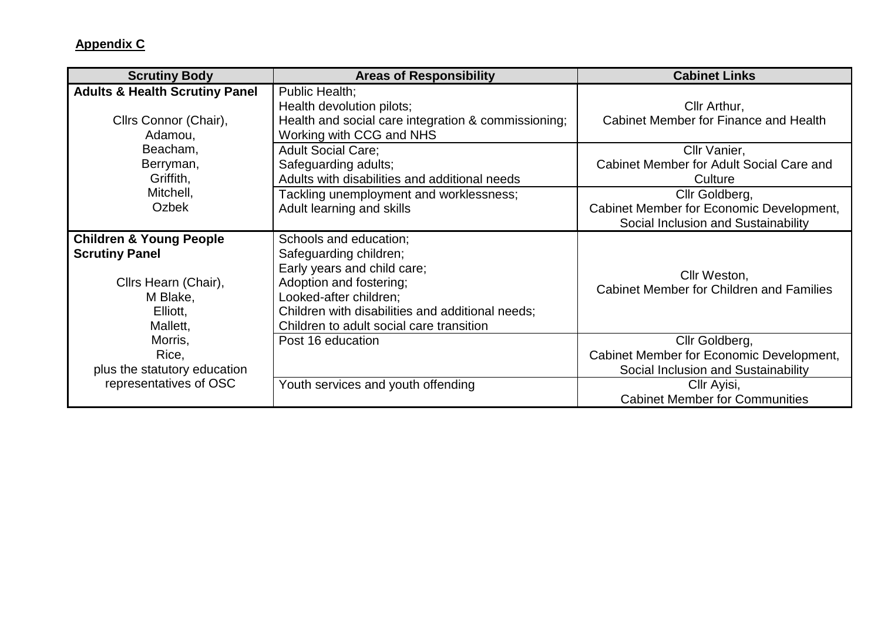| <b>Scrutiny Body</b>                                                                                                    | <b>Areas of Responsibility</b>                                                                                                                                                                                                       | <b>Cabinet Links</b>                                                                                                                                      |
|-------------------------------------------------------------------------------------------------------------------------|--------------------------------------------------------------------------------------------------------------------------------------------------------------------------------------------------------------------------------------|-----------------------------------------------------------------------------------------------------------------------------------------------------------|
| <b>Adults &amp; Health Scrutiny Panel</b><br>Cllrs Connor (Chair),<br>Adamou,                                           | Public Health;<br>Health devolution pilots;<br>Health and social care integration & commissioning;<br>Working with CCG and NHS                                                                                                       | Cllr Arthur,<br>Cabinet Member for Finance and Health                                                                                                     |
| Beacham,<br>Berryman,<br>Griffith,                                                                                      | <b>Adult Social Care:</b><br>Safeguarding adults;<br>Adults with disabilities and additional needs                                                                                                                                   | Cllr Vanier,<br>Cabinet Member for Adult Social Care and<br>Culture                                                                                       |
| Mitchell,<br>Ozbek                                                                                                      | Tackling unemployment and worklessness;<br>Adult learning and skills                                                                                                                                                                 | Cllr Goldberg,<br>Cabinet Member for Economic Development,<br>Social Inclusion and Sustainability                                                         |
| <b>Children &amp; Young People</b><br><b>Scrutiny Panel</b><br>Cllrs Hearn (Chair),<br>M Blake,<br>Elliott,<br>Mallett, | Schools and education;<br>Safeguarding children;<br>Early years and child care;<br>Adoption and fostering;<br>Looked-after children;<br>Children with disabilities and additional needs;<br>Children to adult social care transition | Cllr Weston,<br><b>Cabinet Member for Children and Families</b>                                                                                           |
| Morris,<br>Rice,<br>plus the statutory education<br>representatives of OSC                                              | Post 16 education<br>Youth services and youth offending                                                                                                                                                                              | Cllr Goldberg,<br>Cabinet Member for Economic Development,<br>Social Inclusion and Sustainability<br>Cllr Ayisi,<br><b>Cabinet Member for Communities</b> |